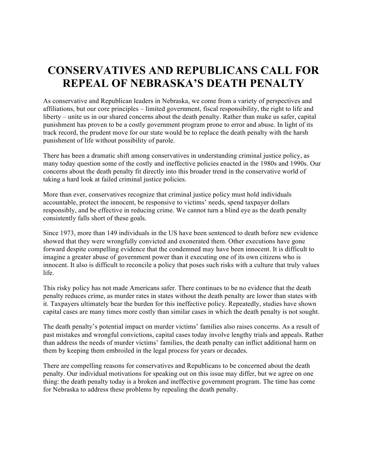## **CONSERVATIVES AND REPUBLICANS CALL FOR REPEAL OF NEBRASKA'S DEATH PENALTY**

As conservative and Republican leaders in Nebraska, we come from a variety of perspectives and affiliations, but our core principles – limited government, fiscal responsibility, the right to life and liberty – unite us in our shared concerns about the death penalty. Rather than make us safer, capital punishment has proven to be a costly government program prone to error and abuse. In light of its track record, the prudent move for our state would be to replace the death penalty with the harsh punishment of life without possibility of parole.

There has been a dramatic shift among conservatives in understanding criminal justice policy, as many today question some of the costly and ineffective policies enacted in the 1980s and 1990s. Our concerns about the death penalty fit directly into this broader trend in the conservative world of taking a hard look at failed criminal justice policies.

More than ever, conservatives recognize that criminal justice policy must hold individuals accountable, protect the innocent, be responsive to victims' needs, spend taxpayer dollars responsibly, and be effective in reducing crime. We cannot turn a blind eye as the death penalty consistently falls short of these goals.

Since 1973, more than 149 individuals in the US have been sentenced to death before new evidence showed that they were wrongfully convicted and exonerated them. Other executions have gone forward despite compelling evidence that the condemned may have been innocent. It is difficult to imagine a greater abuse of government power than it executing one of its own citizens who is innocent. It also is difficult to reconcile a policy that poses such risks with a culture that truly values life.

This risky policy has not made Americans safer. There continues to be no evidence that the death penalty reduces crime, as murder rates in states without the death penalty are lower than states with it. Taxpayers ultimately bear the burden for this ineffective policy. Repeatedly, studies have shown capital cases are many times more costly than similar cases in which the death penalty is not sought.

The death penalty's potential impact on murder victims' families also raises concerns. As a result of past mistakes and wrongful convictions, capital cases today involve lengthy trials and appeals. Rather than address the needs of murder victims' families, the death penalty can inflict additional harm on them by keeping them embroiled in the legal process for years or decades.

There are compelling reasons for conservatives and Republicans to be concerned about the death penalty. Our individual motivations for speaking out on this issue may differ, but we agree on one thing: the death penalty today is a broken and ineffective government program. The time has come for Nebraska to address these problems by repealing the death penalty.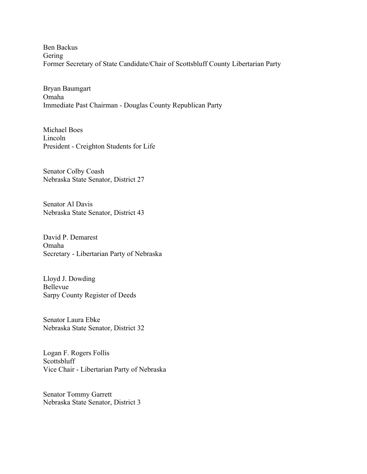Ben Backus Gering Former Secretary of State Candidate/Chair of Scottsbluff County Libertarian Party

Bryan Baumgart Omaha Immediate Past Chairman - Douglas County Republican Party

Michael Boes Lincoln President - Creighton Students for Life

Senator Colby Coash Nebraska State Senator, District 27

Senator Al Davis Nebraska State Senator, District 43

David P. Demarest Omaha Secretary - Libertarian Party of Nebraska

Lloyd J. Dowding Bellevue Sarpy County Register of Deeds

Senator Laura Ebke Nebraska State Senator, District 32

Logan F. Rogers Follis Scottsbluff Vice Chair - Libertarian Party of Nebraska

Senator Tommy Garrett Nebraska State Senator, District 3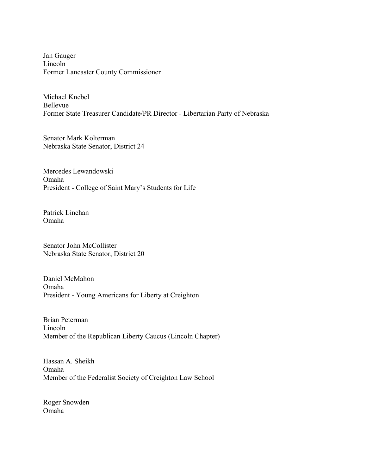Jan Gauger Lincoln Former Lancaster County Commissioner

Michael Knebel Bellevue Former State Treasurer Candidate/PR Director - Libertarian Party of Nebraska

Senator Mark Kolterman Nebraska State Senator, District 24

Mercedes Lewandowski Omaha President - College of Saint Mary's Students for Life

Patrick Linehan Omaha

Senator John McCollister Nebraska State Senator, District 20

Daniel McMahon Omaha President - Young Americans for Liberty at Creighton

Brian Peterman Lincoln Member of the Republican Liberty Caucus (Lincoln Chapter)

Hassan A. Sheikh Omaha Member of the Federalist Society of Creighton Law School

Roger Snowden Omaha